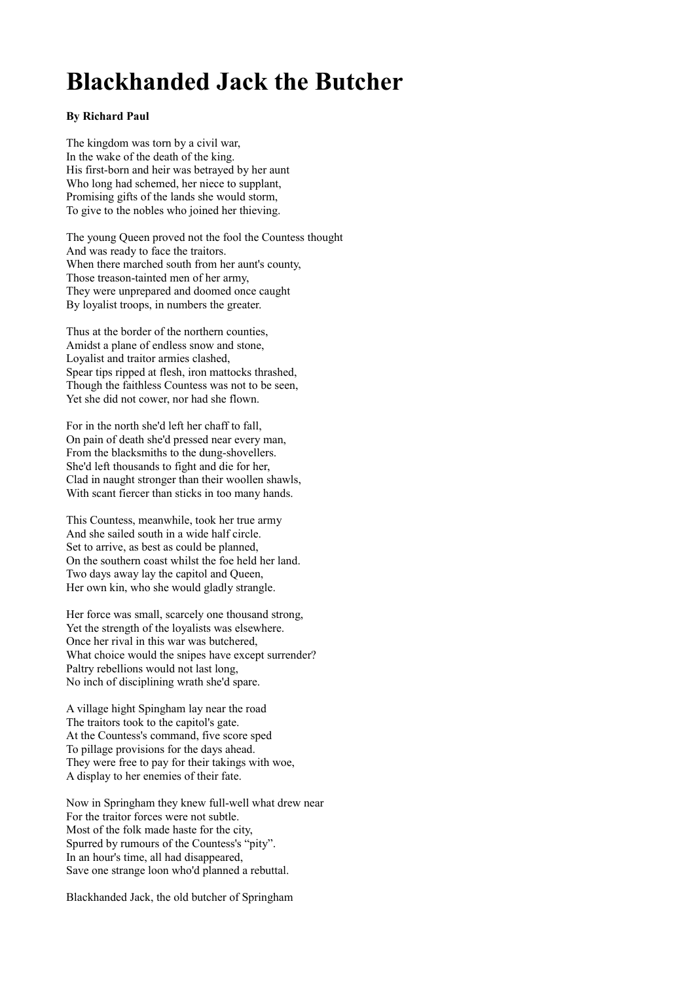## **Blackhanded Jack the Butcher**

## **By Richard Paul**

The kingdom was torn by a civil war, In the wake of the death of the king. His first-born and heir was betrayed by her aunt Who long had schemed, her niece to supplant, Promising gifts of the lands she would storm, To give to the nobles who joined her thieving.

The young Queen proved not the fool the Countess thought And was ready to face the traitors. When there marched south from her aunt's county, Those treason-tainted men of her army, They were unprepared and doomed once caught By loyalist troops, in numbers the greater.

Thus at the border of the northern counties, Amidst a plane of endless snow and stone, Loyalist and traitor armies clashed, Spear tips ripped at flesh, iron mattocks thrashed, Though the faithless Countess was not to be seen, Yet she did not cower, nor had she flown.

For in the north she'd left her chaff to fall, On pain of death she'd pressed near every man, From the blacksmiths to the dung-shovellers. She'd left thousands to fight and die for her, Clad in naught stronger than their woollen shawls, With scant fiercer than sticks in too many hands.

This Countess, meanwhile, took her true army And she sailed south in a wide half circle. Set to arrive, as best as could be planned, On the southern coast whilst the foe held her land. Two days away lay the capitol and Queen, Her own kin, who she would gladly strangle.

Her force was small, scarcely one thousand strong, Yet the strength of the loyalists was elsewhere. Once her rival in this war was butchered, What choice would the snipes have except surrender? Paltry rebellions would not last long, No inch of disciplining wrath she'd spare.

A village hight Spingham lay near the road The traitors took to the capitol's gate. At the Countess's command, five score sped To pillage provisions for the days ahead. They were free to pay for their takings with woe, A display to her enemies of their fate.

Now in Springham they knew full-well what drew near For the traitor forces were not subtle. Most of the folk made haste for the city, Spurred by rumours of the Countess's "pity". In an hour's time, all had disappeared, Save one strange loon who'd planned a rebuttal.

Blackhanded Jack, the old butcher of Springham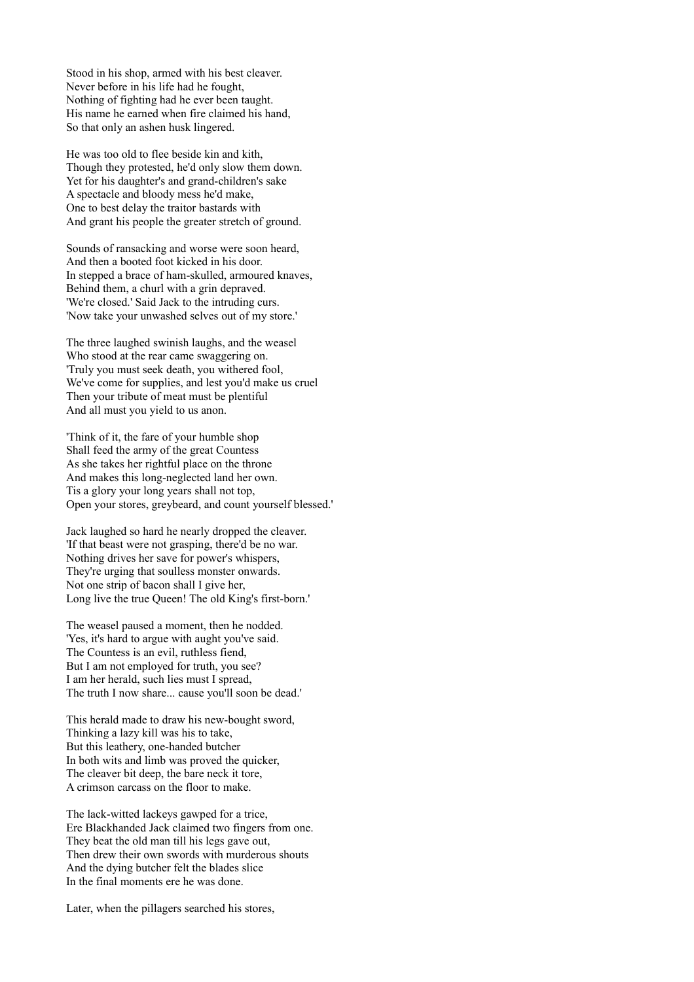Stood in his shop, armed with his best cleaver. Never before in his life had he fought, Nothing of fighting had he ever been taught. His name he earned when fire claimed his hand, So that only an ashen husk lingered.

He was too old to flee beside kin and kith, Though they protested, he'd only slow them down. Yet for his daughter's and grand-children's sake A spectacle and bloody mess he'd make, One to best delay the traitor bastards with And grant his people the greater stretch of ground.

Sounds of ransacking and worse were soon heard, And then a booted foot kicked in his door. In stepped a brace of ham-skulled, armoured knaves, Behind them, a churl with a grin depraved. 'We're closed.' Said Jack to the intruding curs. 'Now take your unwashed selves out of my store.'

The three laughed swinish laughs, and the weasel Who stood at the rear came swaggering on. 'Truly you must seek death, you withered fool, We've come for supplies, and lest you'd make us cruel Then your tribute of meat must be plentiful And all must you yield to us anon.

'Think of it, the fare of your humble shop Shall feed the army of the great Countess As she takes her rightful place on the throne And makes this long-neglected land her own. Tis a glory your long years shall not top, Open your stores, greybeard, and count yourself blessed.'

Jack laughed so hard he nearly dropped the cleaver. 'If that beast were not grasping, there'd be no war. Nothing drives her save for power's whispers, They're urging that soulless monster onwards. Not one strip of bacon shall I give her, Long live the true Queen! The old King's first-born.'

The weasel paused a moment, then he nodded. 'Yes, it's hard to argue with aught you've said. The Countess is an evil, ruthless fiend, But I am not employed for truth, you see? I am her herald, such lies must I spread, The truth I now share... cause you'll soon be dead.'

This herald made to draw his new-bought sword, Thinking a lazy kill was his to take, But this leathery, one-handed butcher In both wits and limb was proved the quicker, The cleaver bit deep, the bare neck it tore, A crimson carcass on the floor to make.

The lack-witted lackeys gawped for a trice, Ere Blackhanded Jack claimed two fingers from one. They beat the old man till his legs gave out, Then drew their own swords with murderous shouts And the dying butcher felt the blades slice In the final moments ere he was done.

Later, when the pillagers searched his stores,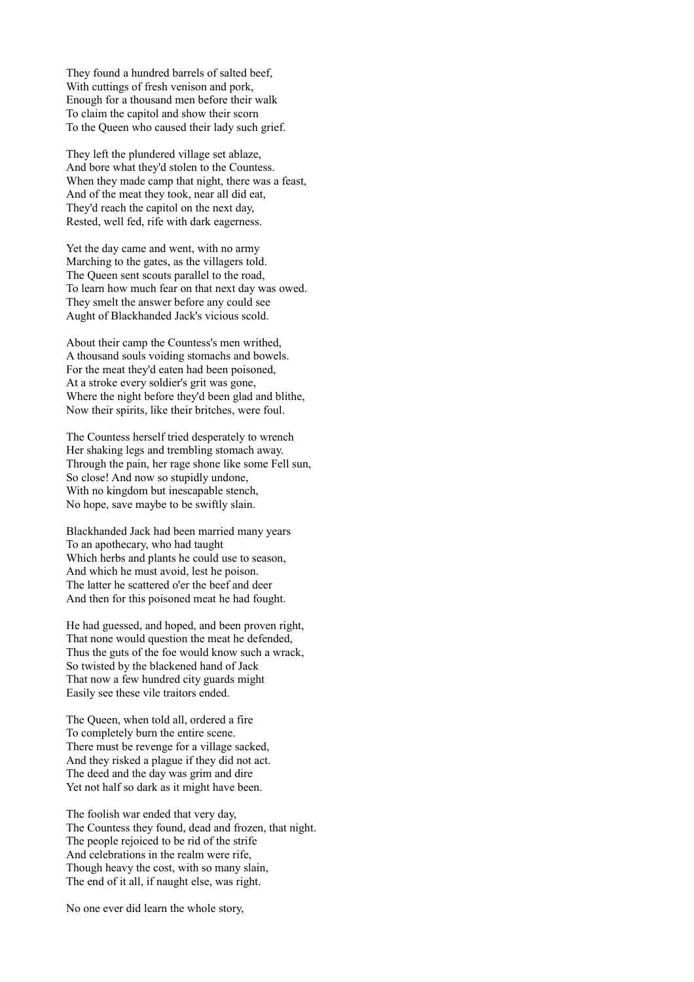They found a hundred barrels of salted beef, With cuttings of fresh venison and pork, Enough for a thousand men before their walk To claim the capitol and show their scorn To the Queen who caused their lady such grief.

They left the plundered village set ablaze, And bore what they'd stolen to the Countess. When they made camp that night, there was a feast, And of the meat they took, near all did eat, They'd reach the capitol on the next day, Rested, well fed, rife with dark eagerness.

Yet the day came and went, with no army Marching to the gates, as the villagers told. The Queen sent scouts parallel to the road, To learn how much fear on that next day was owed. They smelt the answer before any could see Aught of Blackhanded Jack's vicious scold.

About their camp the Countess's men writhed, A thousand souls voiding stomachs and bowels. For the meat they'd eaten had been poisoned, At a stroke every soldier's grit was gone, Where the night before they'd been glad and blithe, Now their spirits, like their britches, were foul.

The Countess herself tried desperately to wrench Her shaking legs and trembling stomach away. Through the pain, her rage shone like some Fell sun, So close! And now so stupidly undone, With no kingdom but inescapable stench, No hope, save maybe to be swiftly slain.

Blackhanded Jack had been married many years To an apothecary, who had taught Which herbs and plants he could use to season, And which he must avoid, lest he poison. The latter he scattered o'er the beef and deer And then for this poisoned meat he had fought.

He had guessed, and hoped, and been proven right, That none would question the meat he defended, Thus the guts of the foe would know such a wrack, So twisted by the blackened hand of Jack That now a few hundred city guards might Easily see these vile traitors ended.

The Queen, when told all, ordered a fire To completely burn the entire scene. There must be revenge for a village sacked, And they risked a plague if they did not act. The deed and the day was grim and dire Yet not half so dark as it might have been.

The foolish war ended that very day, The Countess they found, dead and frozen, that night. The people rejoiced to be rid of the strife And celebrations in the realm were rife, Though heavy the cost, with so many slain, The end of it all, if naught else, was right.

No one ever did learn the whole story,